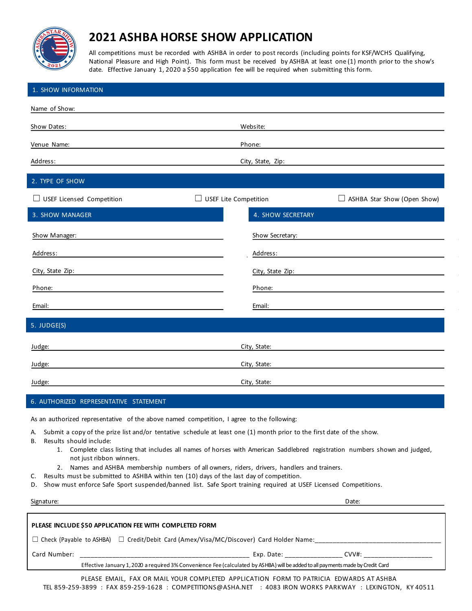

## **202** $\blacksquare$ **SWA** HORSE SHOW APPLICATION

All competitions must be recorded with ASHBA in order to post records (including points for KSF/WCHS Qualifying, and High Point). This form must be received by ASHBA at least one (1) month prior to the show's date. Effective January 1, 2020 a \$50 application fee will be required when submitting this form.

| 1. SHOW INFORMATION                                                                                                                                                                                                                                                                                                                                                                                                                                                                                                                                                                                                                                                                                                                                                |                                                             |  |
|--------------------------------------------------------------------------------------------------------------------------------------------------------------------------------------------------------------------------------------------------------------------------------------------------------------------------------------------------------------------------------------------------------------------------------------------------------------------------------------------------------------------------------------------------------------------------------------------------------------------------------------------------------------------------------------------------------------------------------------------------------------------|-------------------------------------------------------------|--|
| Name of Show:                                                                                                                                                                                                                                                                                                                                                                                                                                                                                                                                                                                                                                                                                                                                                      |                                                             |  |
| Show Dates:                                                                                                                                                                                                                                                                                                                                                                                                                                                                                                                                                                                                                                                                                                                                                        | Website:                                                    |  |
| Venue Name:                                                                                                                                                                                                                                                                                                                                                                                                                                                                                                                                                                                                                                                                                                                                                        | Phone:                                                      |  |
| Address:                                                                                                                                                                                                                                                                                                                                                                                                                                                                                                                                                                                                                                                                                                                                                           | City, State, Zip:                                           |  |
| 2. TYPE OF SHOW                                                                                                                                                                                                                                                                                                                                                                                                                                                                                                                                                                                                                                                                                                                                                    |                                                             |  |
| $\Box$ USEF Licensed Competition                                                                                                                                                                                                                                                                                                                                                                                                                                                                                                                                                                                                                                                                                                                                   | USEF Lite Competition<br>$\Box$ ASHBA Star Show (Open Show) |  |
| 3. SHOW MANAGER                                                                                                                                                                                                                                                                                                                                                                                                                                                                                                                                                                                                                                                                                                                                                    | 4. SHOW SECRETARY                                           |  |
| Show Manager:                                                                                                                                                                                                                                                                                                                                                                                                                                                                                                                                                                                                                                                                                                                                                      | Show Secretary:                                             |  |
| Address:                                                                                                                                                                                                                                                                                                                                                                                                                                                                                                                                                                                                                                                                                                                                                           | Address:                                                    |  |
| City, State Zip:                                                                                                                                                                                                                                                                                                                                                                                                                                                                                                                                                                                                                                                                                                                                                   | City, State Zip:                                            |  |
| Phone:                                                                                                                                                                                                                                                                                                                                                                                                                                                                                                                                                                                                                                                                                                                                                             | Phone:                                                      |  |
| Email:                                                                                                                                                                                                                                                                                                                                                                                                                                                                                                                                                                                                                                                                                                                                                             | Email:                                                      |  |
| 5. JUDGE(S)                                                                                                                                                                                                                                                                                                                                                                                                                                                                                                                                                                                                                                                                                                                                                        |                                                             |  |
| Judge:                                                                                                                                                                                                                                                                                                                                                                                                                                                                                                                                                                                                                                                                                                                                                             | City, State:                                                |  |
| Judge:                                                                                                                                                                                                                                                                                                                                                                                                                                                                                                                                                                                                                                                                                                                                                             | City, State:                                                |  |
| Judge:                                                                                                                                                                                                                                                                                                                                                                                                                                                                                                                                                                                                                                                                                                                                                             | City, State:                                                |  |
| 6. AUTHORIZED REPRESENTATIVE STATEMENT                                                                                                                                                                                                                                                                                                                                                                                                                                                                                                                                                                                                                                                                                                                             |                                                             |  |
| As an authorized representative of the above named competition, I agree to the following:<br>A. Submit a copy of the prize list and/or tentative schedule at least one (1) month prior to the first date of the show.<br>Results should include:<br>В.<br>1. Complete class listing that includes all names of horses with American Saddlebred registration numbers shown and judged,<br>not just ribbon winners.<br>2. Names and ASHBA membership numbers of all owners, riders, drivers, handlers and trainers.<br>Results must be submitted to ASHBA within ten (10) days of the last day of competition.<br>C.<br>Show must enforce Safe Sport suspended/banned list. Safe Sport training required at USEF Licensed Competitions.<br>D.<br>Date:<br>Signature: |                                                             |  |
| PLEASE INCLUDE \$50 APPLICATION FEE WITH COMPLETED FORM                                                                                                                                                                                                                                                                                                                                                                                                                                                                                                                                                                                                                                                                                                            |                                                             |  |
| □ Check (Payable to ASHBA) □ Credit/Debit Card (Amex/Visa/MC/Discover) Card Holder Name:<br>□ Check (Payable to ASHBA) □ Credit/Debit Card (Amex/Visa/MC/Discover) Card Holder Name:                                                                                                                                                                                                                                                                                                                                                                                                                                                                                                                                                                               |                                                             |  |

Card Number: \_\_\_\_\_\_\_\_\_\_\_\_\_\_\_\_\_\_\_\_\_\_\_\_\_\_\_\_\_\_\_\_\_\_\_\_\_\_\_\_\_\_\_\_\_\_\_ Exp. Date: \_\_\_\_\_\_\_\_\_\_\_\_\_\_\_\_ CVV#: \_\_\_\_\_\_\_\_\_\_\_\_\_\_\_\_\_\_\_

Effective January 1, 2020 a required 3% Convenience Fee (calculated by ASHBA) will be added to all payments made by Credit/Debit Cards

PLEASE EMAIL, FAX OR MAIL YOUR COMPLETED APPLICATION FORM TO PATRICIA EDWARDS AT ASHBA TEL 859-259-3899 : FAX 859-259-1628 : COMPETITIONS@ASHA.NET : 4083 IRON WORKS PARKWAY : LEXINGTON, KY 40511